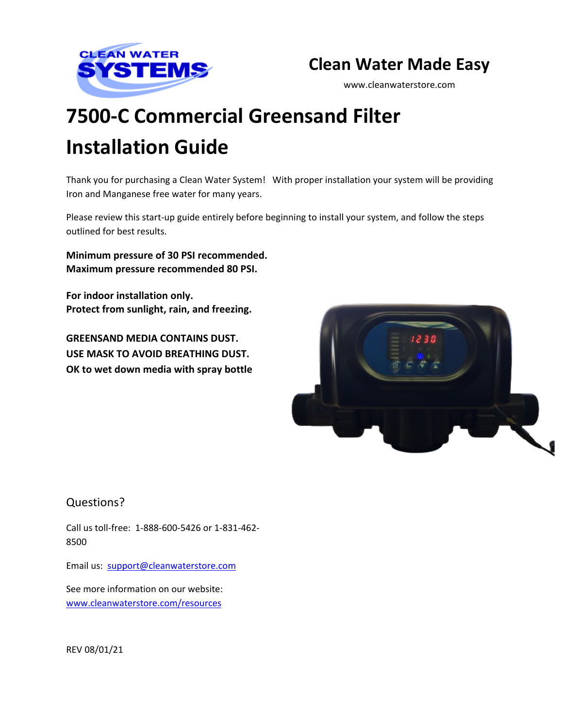

# **Clean Water Made Easy**

www.cleanwaterstore.com

# **7500-C Commercial Greensand Filter Installation Guide**

Thank you for purchasing a Clean Water System! With proper installation your system will be providing Iron and Manganese free water for many years.

Please review this start-up guide entirely before beginning to install your system, and follow the steps outlined for best results.

**Minimum pressure of 30 PSI recommended. Maximum pressure recommended 80 PSI.** 

**For indoor installation only. Protect from sunlight, rain, and freezing.**

**GREENSAND MEDIA CONTAINS DUST. USE MASK TO AVOID BREATHING DUST. OK to wet down media with spray bottle**



### Questions?

Call us toll-free: 1-888-600-5426 or 1-831-462-8500

Email us: [support@cleanwaterstore.com](mailto:support@cleanwaterstore.com)

See more information on our website: [www.cleanwaterstore.com/resources](http://www.cleanwaterstore.com/resources)

REV 08/01/21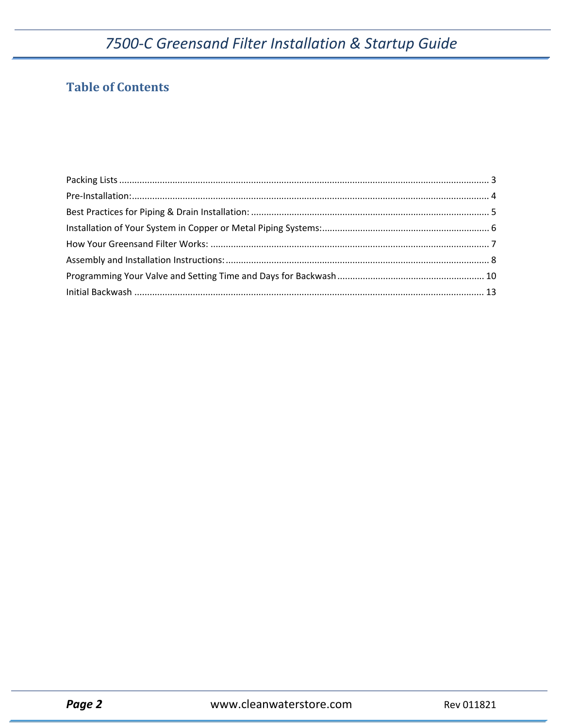## **Table of Contents**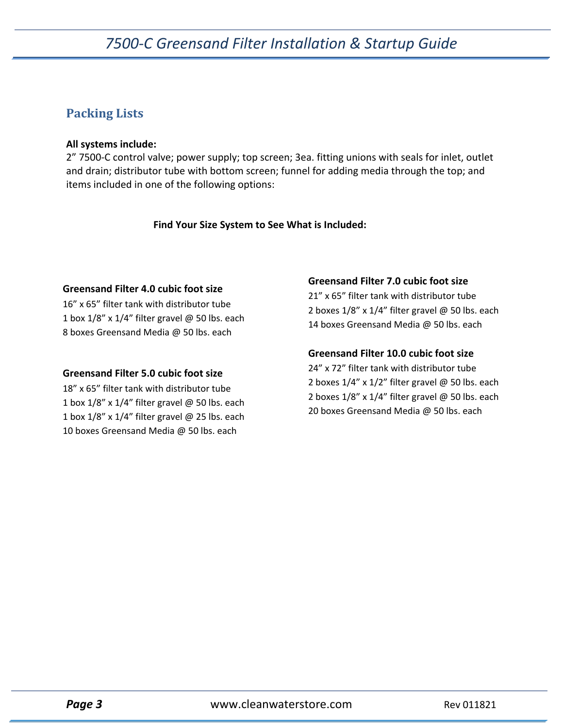### <span id="page-2-0"></span>**Packing Lists**

#### **All systems include:**

2" 7500-C control valve; power supply; top screen; 3ea. fitting unions with seals for inlet, outlet and drain; distributor tube with bottom screen; funnel for adding media through the top; and items included in one of the following options:

 **Find Your Size System to See What is Included:**

#### **Greensand Filter 4.0 cubic foot size**

16" x 65" filter tank with distributor tube 1 box  $1/8$ " x  $1/4$ " filter gravel @ 50 lbs. each 8 boxes Greensand Media @ 50 lbs. each

#### **Greensand Filter 5.0 cubic foot size**

18" x 65" filter tank with distributor tube 1 box  $1/8$ " x  $1/4$ " filter gravel @ 50 lbs. each 1 box  $1/8$ " x  $1/4$ " filter gravel @ 25 lbs. each 10 boxes Greensand Media @ 50 lbs. each

#### **Greensand Filter 7.0 cubic foot size**

21" x 65" filter tank with distributor tube 2 boxes 1/8" x 1/4" filter gravel @ 50 lbs. each 14 boxes Greensand Media @ 50 lbs. each

### **Greensand Filter 10.0 cubic foot size**

24" x 72" filter tank with distributor tube 2 boxes 1/4" x 1/2" filter gravel @ 50 lbs. each 2 boxes 1/8" x 1/4" filter gravel @ 50 lbs. each 20 boxes Greensand Media @ 50 lbs. each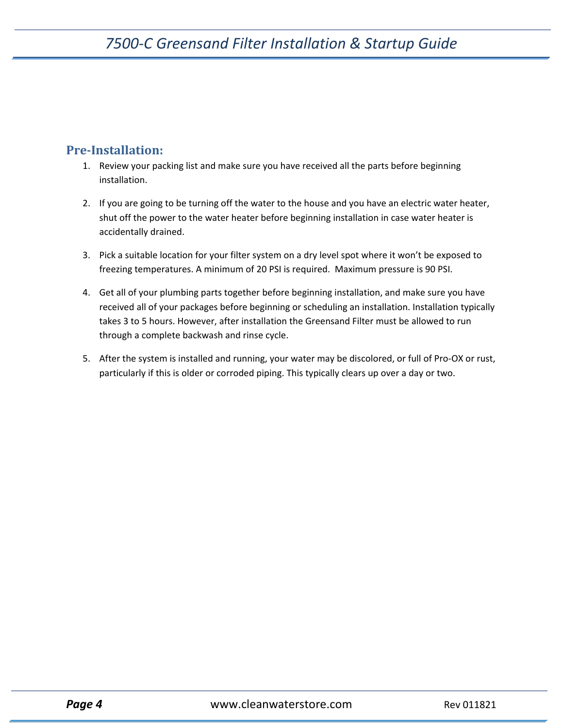### <span id="page-3-0"></span>**Pre-Installation:**

- 1. Review your packing list and make sure you have received all the parts before beginning installation.
- 2. If you are going to be turning off the water to the house and you have an electric water heater, shut off the power to the water heater before beginning installation in case water heater is accidentally drained.
- 3. Pick a suitable location for your filter system on a dry level spot where it won't be exposed to freezing temperatures. A minimum of 20 PSI is required. Maximum pressure is 90 PSI.
- 4. Get all of your plumbing parts together before beginning installation, and make sure you have received all of your packages before beginning or scheduling an installation. Installation typically takes 3 to 5 hours. However, after installation the Greensand Filter must be allowed to run through a complete backwash and rinse cycle.
- 5. After the system is installed and running, your water may be discolored, or full of Pro-OX or rust, particularly if this is older or corroded piping. This typically clears up over a day or two.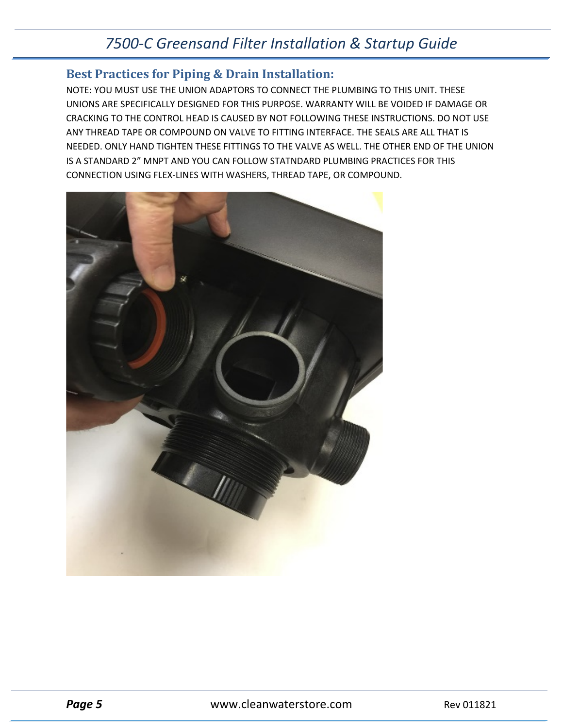### <span id="page-4-0"></span>**Best Practices for Piping & Drain Installation:**

NOTE: YOU MUST USE THE UNION ADAPTORS TO CONNECT THE PLUMBING TO THIS UNIT. THESE UNIONS ARE SPECIFICALLY DESIGNED FOR THIS PURPOSE. WARRANTY WILL BE VOIDED IF DAMAGE OR CRACKING TO THE CONTROL HEAD IS CAUSED BY NOT FOLLOWING THESE INSTRUCTIONS. DO NOT USE ANY THREAD TAPE OR COMPOUND ON VALVE TO FITTING INTERFACE. THE SEALS ARE ALL THAT IS NEEDED. ONLY HAND TIGHTEN THESE FITTINGS TO THE VALVE AS WELL. THE OTHER END OF THE UNION IS A STANDARD 2" MNPT AND YOU CAN FOLLOW STATNDARD PLUMBING PRACTICES FOR THIS CONNECTION USING FLEX-LINES WITH WASHERS, THREAD TAPE, OR COMPOUND.

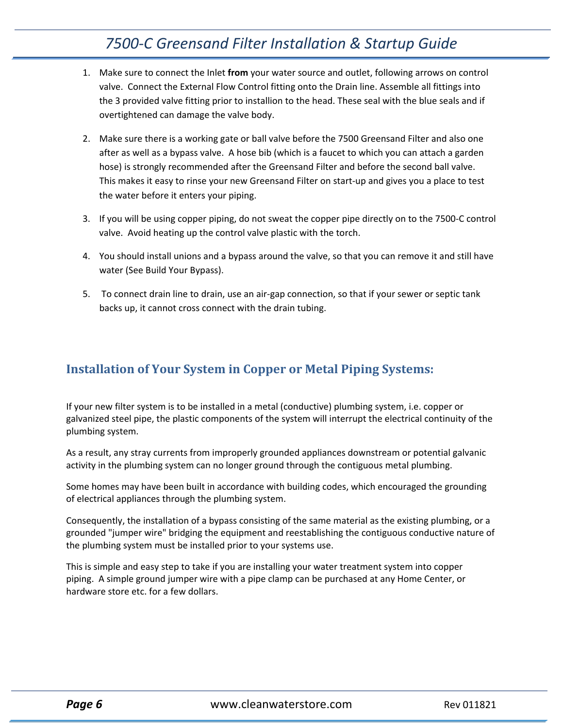- 1. Make sure to connect the Inlet **from** your water source and outlet, following arrows on control valve. Connect the External Flow Control fitting onto the Drain line. Assemble all fittings into the 3 provided valve fitting prior to installion to the head. These seal with the blue seals and if overtightened can damage the valve body.
- 2. Make sure there is a working gate or ball valve before the 7500 Greensand Filter and also one after as well as a bypass valve. A hose bib (which is a faucet to which you can attach a garden hose) is strongly recommended after the Greensand Filter and before the second ball valve. This makes it easy to rinse your new Greensand Filter on start-up and gives you a place to test the water before it enters your piping.
- 3. If you will be using copper piping, do not sweat the copper pipe directly on to the 7500-C control valve. Avoid heating up the control valve plastic with the torch.
- 4. You should install unions and a bypass around the valve, so that you can remove it and still have water (See Build Your Bypass).
- 5. To connect drain line to drain, use an air-gap connection, so that if your sewer or septic tank backs up, it cannot cross connect with the drain tubing.

### <span id="page-5-0"></span>**Installation of Your System in Copper or Metal Piping Systems:**

If your new filter system is to be installed in a metal (conductive) plumbing system, i.e. copper or galvanized steel pipe, the plastic components of the system will interrupt the electrical continuity of the plumbing system.

As a result, any stray currents from improperly grounded appliances downstream or potential galvanic activity in the plumbing system can no longer ground through the contiguous metal plumbing.

Some homes may have been built in accordance with building codes, which encouraged the grounding of electrical appliances through the plumbing system.

Consequently, the installation of a bypass consisting of the same material as the existing plumbing, or a grounded "jumper wire" bridging the equipment and reestablishing the contiguous conductive nature of the plumbing system must be installed prior to your systems use.

This is simple and easy step to take if you are installing your water treatment system into copper piping. A simple ground jumper wire with a pipe clamp can be purchased at any Home Center, or hardware store etc. for a few dollars.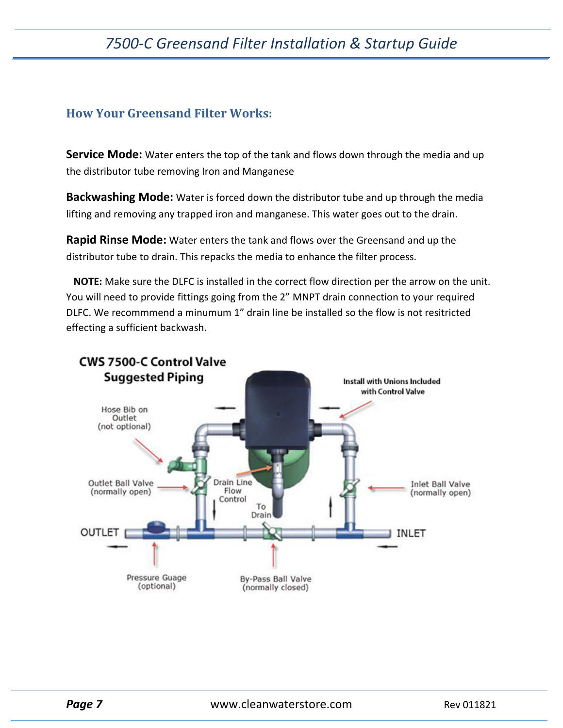### <span id="page-6-0"></span>**How Your Greensand Filter Works:**

**Service Mode:** Water enters the top of the tank and flows down through the media and up the distributor tube removing Iron and Manganese

**Backwashing Mode:** Water is forced down the distributor tube and up through the media lifting and removing any trapped iron and manganese. This water goes out to the drain.

**Rapid Rinse Mode:** Water enters the tank and flows over the Greensand and up the distributor tube to drain. This repacks the media to enhance the filter process.

 **NOTE:** Make sure the DLFC is installed in the correct flow direction per the arrow on the unit. You will need to provide fittings going from the 2" MNPT drain connection to your required DLFC. We recommmend a minumum 1" drain line be installed so the flow is not resitricted effecting a sufficient backwash.

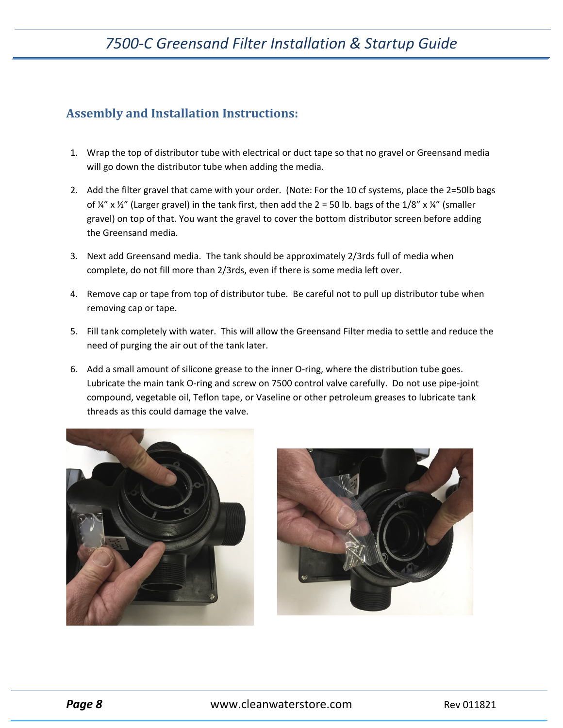### <span id="page-7-0"></span>**Assembly and Installation Instructions:**

- 1. Wrap the top of distributor tube with electrical or duct tape so that no gravel or Greensand media will go down the distributor tube when adding the media.
- 2. Add the filter gravel that came with your order. (Note: For the 10 cf systems, place the 2=50lb bags of  $\frac{1}{4}$ " x  $\frac{1}{2}$ " (Larger gravel) in the tank first, then add the 2 = 50 lb. bags of the 1/8" x  $\frac{1}{4}$ " (smaller gravel) on top of that. You want the gravel to cover the bottom distributor screen before adding the Greensand media.
- 3. Next add Greensand media. The tank should be approximately 2/3rds full of media when complete, do not fill more than 2/3rds, even if there is some media left over.
- 4. Remove cap or tape from top of distributor tube. Be careful not to pull up distributor tube when removing cap or tape.
- 5. Fill tank completely with water. This will allow the Greensand Filter media to settle and reduce the need of purging the air out of the tank later.
- 6. Add a small amount of silicone grease to the inner O-ring, where the distribution tube goes. Lubricate the main tank O-ring and screw on 7500 control valve carefully. Do not use pipe-joint compound, vegetable oil, Teflon tape, or Vaseline or other petroleum greases to lubricate tank threads as this could damage the valve.



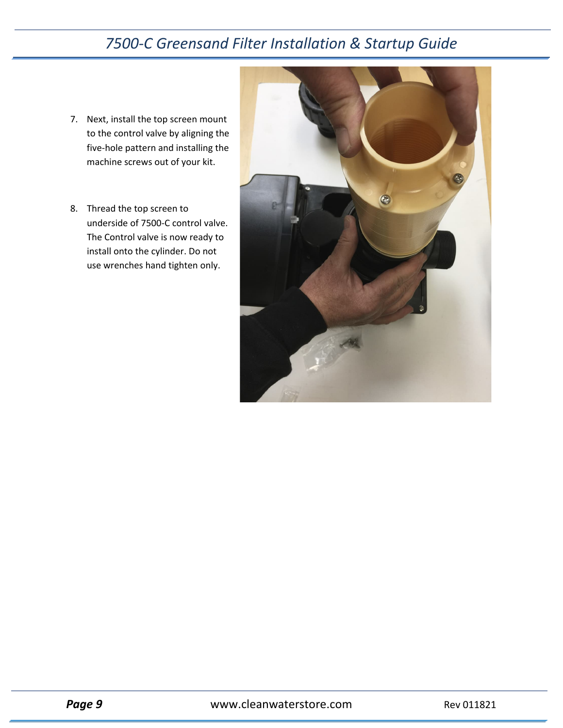- 7. Next, install the top screen mount to the control valve by aligning the five-hole pattern and installing the machine screws out of your kit.
- 8. Thread the top screen to underside of 7500-C control valve. The Control valve is now ready to install onto the cylinder. Do not use wrenches hand tighten only.

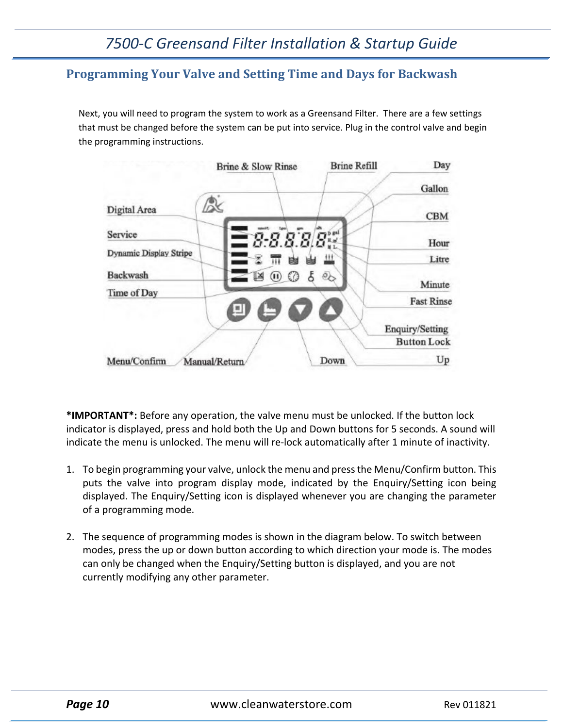### <span id="page-9-0"></span>**Programming Your Valve and Setting Time and Days for Backwash**

Next, you will need to program the system to work as a Greensand Filter. There are a few settings that must be changed before the system can be put into service. Plug in the control valve and begin the programming instructions.



**\*IMPORTANT\*:** Before any operation, the valve menu must be unlocked. If the button lock indicator is displayed, press and hold both the Up and Down buttons for 5 seconds. A sound will indicate the menu is unlocked. The menu will re-lock automatically after 1 minute of inactivity.

- 1. To begin programming your valve, unlock the menu and press the Menu/Confirm button. This puts the valve into program display mode, indicated by the Enquiry/Setting icon being displayed. The Enquiry/Setting icon is displayed whenever you are changing the parameter of a programming mode.
- 2. The sequence of programming modes is shown in the diagram below. To switch between modes, press the up or down button according to which direction your mode is. The modes can only be changed when the Enquiry/Setting button is displayed, and you are not currently modifying any other parameter.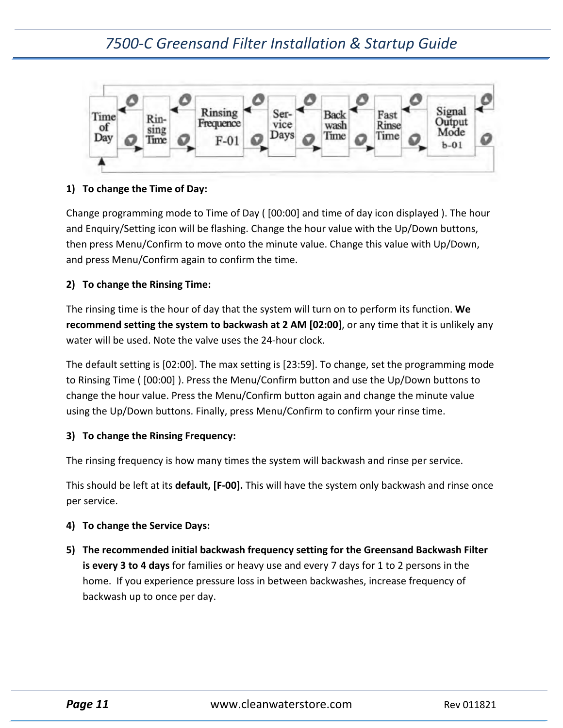

### **1) To change the Time of Day:**

Change programming mode to Time of Day ( [00:00] and time of day icon displayed ). The hour and Enquiry/Setting icon will be flashing. Change the hour value with the Up/Down buttons, then press Menu/Confirm to move onto the minute value. Change this value with Up/Down, and press Menu/Confirm again to confirm the time.

#### **2) To change the Rinsing Time:**

The rinsing time is the hour of day that the system will turn on to perform its function. **We recommend setting the system to backwash at 2 AM [02:00]**, or any time that it is unlikely any water will be used. Note the valve uses the 24-hour clock.

The default setting is [02:00]. The max setting is [23:59]. To change, set the programming mode to Rinsing Time ( [00:00] ). Press the Menu/Confirm button and use the Up/Down buttons to change the hour value. Press the Menu/Confirm button again and change the minute value using the Up/Down buttons. Finally, press Menu/Confirm to confirm your rinse time.

#### **3) To change the Rinsing Frequency:**

The rinsing frequency is how many times the system will backwash and rinse per service.

This should be left at its **default, [F-00].** This will have the system only backwash and rinse once per service.

#### **4) To change the Service Days:**

**5) The recommended initial backwash frequency setting for the Greensand Backwash Filter is every 3 to 4 days** for families or heavy use and every 7 days for 1 to 2 persons in the home. If you experience pressure loss in between backwashes, increase frequency of backwash up to once per day.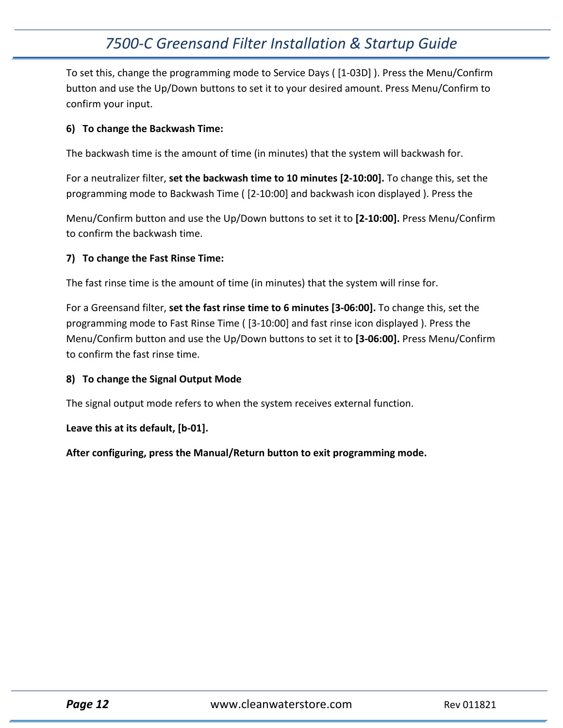To set this, change the programming mode to Service Days ( [1-03D] ). Press the Menu/Confirm button and use the Up/Down buttons to set it to your desired amount. Press Menu/Confirm to confirm your input.

#### **6) To change the Backwash Time:**

The backwash time is the amount of time (in minutes) that the system will backwash for.

For a neutralizer filter, **set the backwash time to 10 minutes [2-10:00].** To change this, set the programming mode to Backwash Time ( [2-10:00] and backwash icon displayed ). Press the

Menu/Confirm button and use the Up/Down buttons to set it to **[2-10:00].** Press Menu/Confirm to confirm the backwash time.

### **7) To change the Fast Rinse Time:**

The fast rinse time is the amount of time (in minutes) that the system will rinse for.

For a Greensand filter, **set the fast rinse time to 6 minutes [3-06:00].** To change this, set the programming mode to Fast Rinse Time ( [3-10:00] and fast rinse icon displayed ). Press the Menu/Confirm button and use the Up/Down buttons to set it to **[3-06:00].** Press Menu/Confirm to confirm the fast rinse time.

#### **8) To change the Signal Output Mode**

The signal output mode refers to when the system receives external function.

#### **Leave this at its default, [b-01].**

**After configuring, press the Manual/Return button to exit programming mode.**